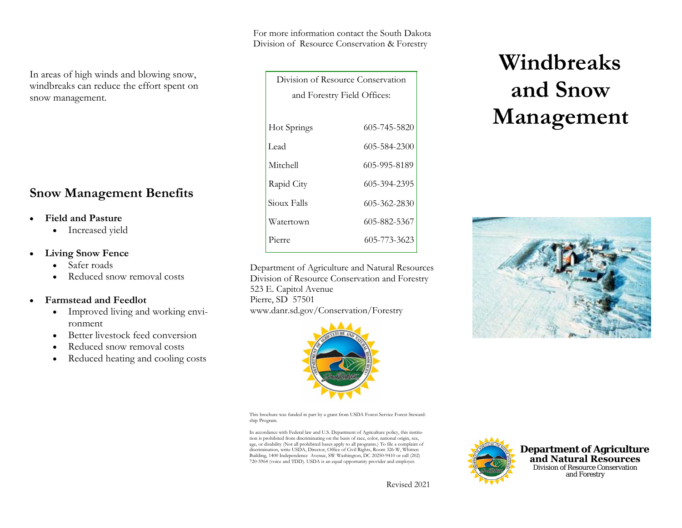For more information contact the South Dakota Division of Resource Conservation & Forestry

| In areas of high winds and blowing snow,  |
|-------------------------------------------|
| windbreaks can reduce the effort spent on |
| snow management.                          |

# **Snow Management Benefits**

#### •**Field and Pasture**

• Increased yield

#### $\bullet$ **Living Snow Fence**

- Safer roads
- •Reduced snow removal costs

#### •**Farmstead and Feedlot**

- $\bullet$  Improved living and working environment
- •Better livestock feed conversion
- •Reduced snow removal costs
- •Reduced heating and cooling costs

| Division of Resource Conservation |              |
|-----------------------------------|--------------|
| and Forestry Field Offices:       |              |
|                                   |              |
| Hot Springs                       | 605-745-5820 |
| Lead                              | 605-584-2300 |
| Mitchell                          | 605-995-8189 |
| Rapid City                        | 605-394-2395 |
| Sioux Falls                       | 605-362-2830 |
| Watertown                         | 605-882-5367 |
| Pierre                            | 605-773-3623 |

Department of Agriculture and Natural ResourcesDivision of Resource Conservation and Forestry 523 E. Capitol Avenue Pierre, SD 57501 www.danr.sd.gov/Conservation/Forestry



This brochure was funded in part by a grant from USDA Forest Service Forest Stewardship Program.

In accordance with Federal law and U.S. Department of Agriculture policy, this institution is prohibited from discriminating on the basis of race, color, national origin, sex, age, or disability (Not all prohibited bases apply to all programs.) To file a complaint of discrimination, write USDA, Director, Office of Civil Rights, Room 326-W, Whitten Building, 1400 Independence Avenue, SW Washington, DC 20250-9410 or call (202) 720-5964 (voice and TDD). USDA is an equal opportunity provider and employer.

# **Department of Agriculture**

 **and Natural Resources** Division of Resource Conservation and Forestry

Revised 2021

# **Windbreaks and Snow Management**